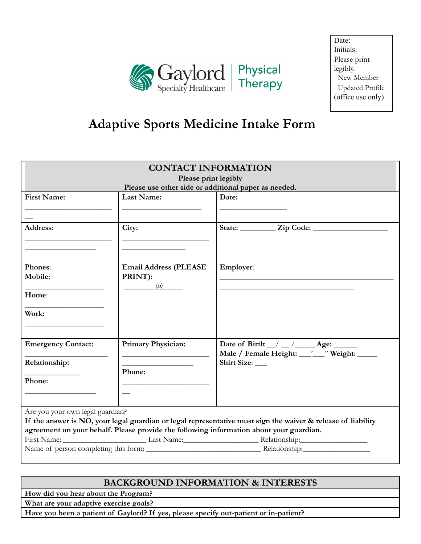

# **Adaptive Sports Medicine Intake Form**

| <b>CONTACT INFORMATION</b><br>Please print legibly                                                                                                                                                      |                                                |                                                                               |  |  |  |
|---------------------------------------------------------------------------------------------------------------------------------------------------------------------------------------------------------|------------------------------------------------|-------------------------------------------------------------------------------|--|--|--|
| Please use other side or additional paper as needed.                                                                                                                                                    |                                                |                                                                               |  |  |  |
| <b>First Name:</b>                                                                                                                                                                                      | <b>Last Name:</b>                              | Date:                                                                         |  |  |  |
| <b>Address:</b>                                                                                                                                                                                         | City:                                          |                                                                               |  |  |  |
| Phones:<br>Mobile:                                                                                                                                                                                      | <b>Email Address (PLEASE</b><br>PRINT):<br>(a) | Employer:                                                                     |  |  |  |
| Home:                                                                                                                                                                                                   |                                                |                                                                               |  |  |  |
| Work:                                                                                                                                                                                                   |                                                |                                                                               |  |  |  |
| <b>Emergency Contact:</b>                                                                                                                                                                               | Primary Physician:                             | Date of Birth $\_\/\_\_\/\_\_\$ Age:<br>Male / Female Height: veight: weight: |  |  |  |
| Relationship:                                                                                                                                                                                           | Phone:                                         | Shirt Size:                                                                   |  |  |  |
| Phone:                                                                                                                                                                                                  |                                                |                                                                               |  |  |  |
| Are you your own legal guardian?                                                                                                                                                                        |                                                |                                                                               |  |  |  |
|                                                                                                                                                                                                         |                                                |                                                                               |  |  |  |
| If the answer is NO, your legal guardian or legal representative must sign the waiver & release of liability<br>agreement on your behalf. Please provide the following information about your guardian. |                                                |                                                                               |  |  |  |
|                                                                                                                                                                                                         |                                                |                                                                               |  |  |  |
|                                                                                                                                                                                                         |                                                |                                                                               |  |  |  |
|                                                                                                                                                                                                         |                                                |                                                                               |  |  |  |

## **BACKGROUND INFORMATION & INTERESTS**

**How did you hear about the Program?**

**What are your adaptive exercise goals?**

Have you been a patient of Gaylord? If yes, please specify out-patient or in-patient?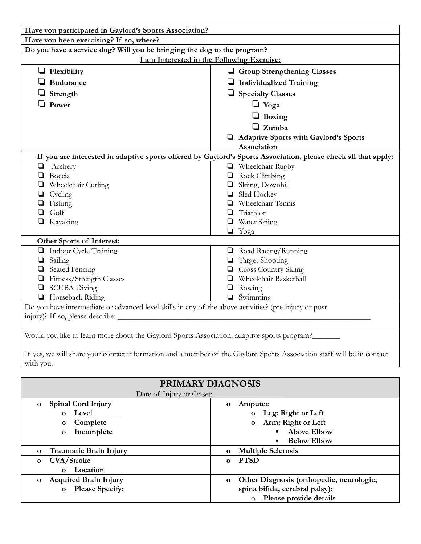| Have you participated in Gaylord's Sports Association?                                                                 |                                       |  |  |  |
|------------------------------------------------------------------------------------------------------------------------|---------------------------------------|--|--|--|
| Have you been exercising? If so, where?                                                                                |                                       |  |  |  |
| Do you have a service dog? Will you be bringing the dog to the program?                                                |                                       |  |  |  |
| I am Interested in the Following Exercise:                                                                             |                                       |  |  |  |
| $\Box$ Flexibility                                                                                                     | Group Strengthening Classes           |  |  |  |
| Endurance                                                                                                              | Individualized Training               |  |  |  |
| $\Box$ Strength                                                                                                        | Specialty Classes                     |  |  |  |
| $\Box$ Power                                                                                                           | $\Box$ Yoga                           |  |  |  |
|                                                                                                                        | $\Box$ Boxing                         |  |  |  |
|                                                                                                                        | $\Box$ Zumba                          |  |  |  |
|                                                                                                                        | Adaptive Sports with Gaylord's Sports |  |  |  |
|                                                                                                                        | Association                           |  |  |  |
| If you are interested in adaptive sports offered by Gaylord's Sports Association, please check all that apply:         |                                       |  |  |  |
| $\Box$<br>Archery                                                                                                      | Wheelchair Rugby                      |  |  |  |
| Boccia<br>❏                                                                                                            | $\Box$ Rock Climbing                  |  |  |  |
| Wheelchair Curling<br>❏                                                                                                | Skiing, Downhill                      |  |  |  |
| $\Box$<br>Cycling                                                                                                      | $\Box$ Sled Hockey                    |  |  |  |
| Fishing                                                                                                                | Wheelchair Tennis                     |  |  |  |
| Golf<br>❏                                                                                                              | Triathlon<br>❏                        |  |  |  |
| Kayaking                                                                                                               | $\Box$ Water Skiing                   |  |  |  |
|                                                                                                                        | $\Box$ Yoga                           |  |  |  |
| Other Sports of Interest:                                                                                              |                                       |  |  |  |
| Indoor Cycle Training                                                                                                  | Road Racing/Running                   |  |  |  |
| Sailing<br>$\Box$                                                                                                      | <b>Target Shooting</b>                |  |  |  |
| Seated Fencing<br>$\Box$                                                                                               | <b>Q</b> Cross Country Skiing         |  |  |  |
| Fitness/Strength Classes<br>$\Box$                                                                                     | Wheelchair Basketball                 |  |  |  |
| <b>SCUBA Diving</b><br>$\Box$                                                                                          | Rowing<br>$\Box$                      |  |  |  |
| Horseback Riding                                                                                                       | $\Box$ Swimming                       |  |  |  |
| Do you have intermediate or advanced level skills in any of the above activities? (pre-injury or post-                 |                                       |  |  |  |
|                                                                                                                        |                                       |  |  |  |
|                                                                                                                        |                                       |  |  |  |
| Would you like to learn more about the Gaylord Sports Association, adaptive sports program?                            |                                       |  |  |  |
|                                                                                                                        |                                       |  |  |  |
| If yes, we will share your contact information and a member of the Gaylord Sports Association staff will be in contact |                                       |  |  |  |

If yes, we<br>with you.

| <b>PRIMARY DIAGNOSIS</b><br>Date of Injury or Onset:                                                                 |                                                                                                                                                                                     |  |  |  |
|----------------------------------------------------------------------------------------------------------------------|-------------------------------------------------------------------------------------------------------------------------------------------------------------------------------------|--|--|--|
| <b>Spinal Cord Injury</b><br>$\mathbf{o}$<br>Level<br>$\Omega$<br>Complete<br>$\mathbf{o}$<br>Incomplete<br>$\Omega$ | Amputee<br>$\mathbf{o}$<br>Leg: Right or Left<br>$\mathbf{o}$<br>Arm: Right or Left<br>$\mathbf{o}$<br><b>Above Elbow</b><br>$\blacksquare$<br><b>Below Elbow</b><br>$\blacksquare$ |  |  |  |
| Traumatic Brain Injury<br>0                                                                                          | <b>Multiple Sclerosis</b><br>$\Omega$                                                                                                                                               |  |  |  |
| <b>CVA/Stroke</b><br>$\mathbf{o}$<br>Location<br>$\Omega$                                                            | <b>PTSD</b><br>$\Omega$                                                                                                                                                             |  |  |  |
| <b>Acquired Brain Injury</b><br>$\mathbf{o}$<br><b>Please Specify:</b><br>$\mathbf{o}$                               | Other Diagnosis (orthopedic, neurologic,<br>$\mathbf{o}$<br>spina bifida, cerebral palsy):<br>Please provide details<br>$\overline{O}$                                              |  |  |  |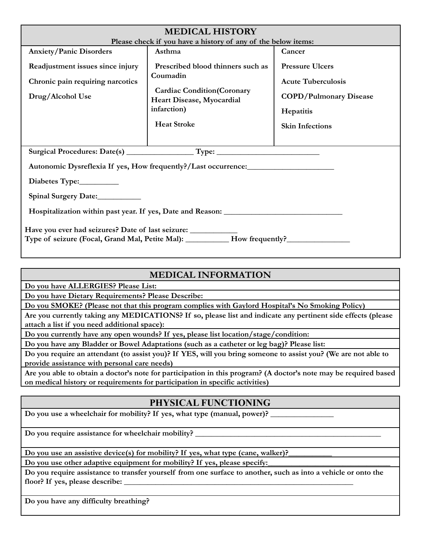| <b>MEDICAL HISTORY</b>                                                                               |                                                                |                               |  |  |  |
|------------------------------------------------------------------------------------------------------|----------------------------------------------------------------|-------------------------------|--|--|--|
| Please check if you have a history of any of the below items:                                        |                                                                |                               |  |  |  |
| <b>Anxiety/Panic Disorders</b>                                                                       | Asthma                                                         | Cancer                        |  |  |  |
| Readjustment issues since injury                                                                     | Prescribed blood thinners such as                              | <b>Pressure Ulcers</b>        |  |  |  |
| Chronic pain requiring narcotics                                                                     | Coumadin                                                       | <b>Acute Tuberculosis</b>     |  |  |  |
| Drug/Alcohol Use                                                                                     | <b>Cardiac Condition(Coronary</b><br>Heart Disease, Myocardial | <b>COPD/Pulmonary Disease</b> |  |  |  |
|                                                                                                      | infarction)                                                    | Hepatitis                     |  |  |  |
|                                                                                                      | <b>Heat Stroke</b>                                             | <b>Skin Infections</b>        |  |  |  |
|                                                                                                      |                                                                |                               |  |  |  |
|                                                                                                      |                                                                |                               |  |  |  |
| Autonomic Dysreflexia If yes, How frequently?/Last occurrence:___________________                    |                                                                |                               |  |  |  |
| Diabetes Type:____________                                                                           |                                                                |                               |  |  |  |
| Spinal Surgery Date:                                                                                 |                                                                |                               |  |  |  |
| Hospitalization within past year. If yes, Date and Reason: ______________________                    |                                                                |                               |  |  |  |
| Have you ever had seizures? Date of last seizure: _______________________________                    |                                                                |                               |  |  |  |
| Type of seizure (Focal, Grand Mal, Petite Mal): ___________ How frequently?_________________________ |                                                                |                               |  |  |  |
|                                                                                                      |                                                                |                               |  |  |  |

# **MEDICAL INFORMATION**

**Do you have ALLERGIES? Please List:**

**Do you have Dietary Requirements? Please Describe:**

**Do you SMOKE? (Please not that this program complies with Gaylord Hospital's No Smoking Policy)**

Are you currently taking any MEDICATIONS? If so, please list and indicate any pertinent side effects (please **attach a list if you need additional space):**

**Do you currently have any open wounds? If yes, please list location/stage/condition:**

**Do you have any Bladder or Bowel Adaptations (such as a catheter or leg bag)? Please list:**

Do you require an attendant (to assist you)? If YES, will you bring someone to assist you? (We are not able to **provide assistance with personal care needs)**

Are you able to obtain a doctor's note for participation in this program? (A doctor's note may be required based **on medical history or requirements for participation in specific activities)**

## **PHYSICAL FUNCTIONING**

**Do you use a wheelchair for mobility? If yes, what type (manual, power)? \_\_\_\_\_\_\_\_\_\_\_\_\_\_\_\_**

**Do you require assistance for wheelchair mobility? \_\_\_\_\_\_\_\_\_\_\_\_\_\_\_\_\_\_\_\_\_\_\_\_\_\_\_\_\_\_\_\_\_\_\_\_\_\_\_\_\_\_\_\_\_\_\_**

**Do you use an assistive device(s) for mobility? If yes, what type (cane, walker)?\_\_\_\_\_\_\_\_\_\_\_**

**Do you use other adaptive equipment for mobility? If yes, please specify:\_\_\_\_\_\_\_\_\_\_\_\_\_\_\_\_\_\_\_\_\_\_\_\_\_\_\_\_\_\_\_**

Do you require assistance to transfer yourself from one surface to another, such as into a vehicle or onto the **floor? If yes, please describe: \_\_\_\_\_\_\_\_\_\_\_\_\_\_\_\_\_\_\_\_\_\_\_\_\_\_\_\_\_\_\_\_\_\_\_\_\_\_\_\_\_\_\_\_\_\_\_\_\_\_\_\_\_\_\_\_\_\_**

**Do you have any difficulty breathing?**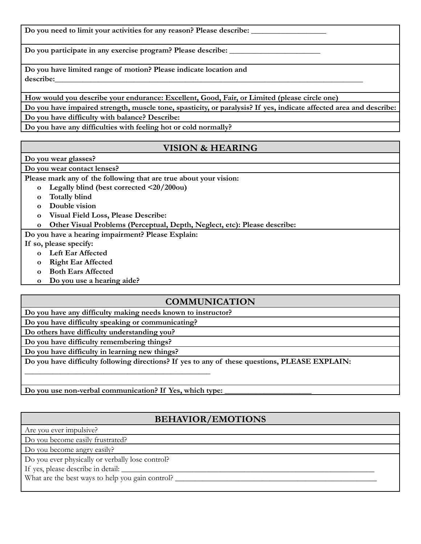**Do you need to limit your activities for any reason? Please describe: \_\_\_\_\_\_\_\_\_\_\_\_\_\_\_\_\_\_\_**

**Do you participate in any exercise program? Please describe: \_\_\_\_\_\_\_\_\_\_\_\_\_\_\_\_\_\_\_\_\_\_\_**

**Do you have limited range of motion? Please indicate location and describe:\_\_\_\_\_\_\_\_\_\_\_\_\_\_\_\_\_\_\_\_\_\_\_\_\_\_\_\_\_\_\_\_\_\_\_\_\_\_\_\_\_\_\_\_\_\_\_\_\_\_\_\_\_\_\_\_\_\_\_\_\_\_\_\_\_\_\_\_\_\_\_\_\_\_\_\_\_\_**

**How would you describe your endurance: Excellent, Good, Fair, or Limited (please circle one)**

Do you have impaired strength, muscle tone, spasticity, or paralysis? If yes, indicate affected area and describe: **Do you have difficulty with balance? Describe:**

**Do you have any difficulties with feeling hot or cold normally?**

#### **VISION & HEARING**

**Do you wear glasses?**

**Do you wear contact lenses?**

**Please mark any of the following that are true about your vision:**

- **o Legally blind (best corrected <20/200ou)**
- **o Totally blind**
- **o Double vision**
- **o Visual Field Loss, Please Describe:**

**o Other Visual Problems (Perceptual, Depth, Neglect, etc): Please describe:**

**Do you have a hearing impairment? Please Explain:**

**If so, please specify:**

- **o Left Ear Affected**
- **o Right Ear Affected**
- **o Both Ears Affected**
- **o Do you use a hearing aide?**

#### **COMMUNICATION**

**Do you have any difficulty making needs known to instructor? Do you have difficulty speaking or communicating?**

**Do others have difficulty understanding you?**

**Do you have difficulty remembering things?**

**Do you have difficulty in learning new things?**

**Do you have difficulty following directions? If yes to any of these questions, PLEASE EXPLAIN:**

**Do you use non-verbal communication? If Yes, which type: \_\_\_\_\_\_\_\_\_\_\_\_\_\_\_\_\_\_\_\_\_\_**

**\_\_\_\_\_\_\_\_\_\_\_\_\_\_\_\_\_\_\_\_\_\_\_\_\_\_\_\_\_\_\_\_\_\_\_\_\_\_\_\_\_\_\_\_\_\_\_**

## **BEHAVIOR/EMOTIONS**

Are you ever impulsive?

Do you become easily frustrated?

Do you become angry easily?

Do you ever physically or verbally lose control?

If yes, please describe in detail:

What are the best ways to help you gain control? \_\_\_\_\_\_\_\_\_\_\_\_\_\_\_\_\_\_\_\_\_\_\_\_\_\_\_\_\_\_\_\_